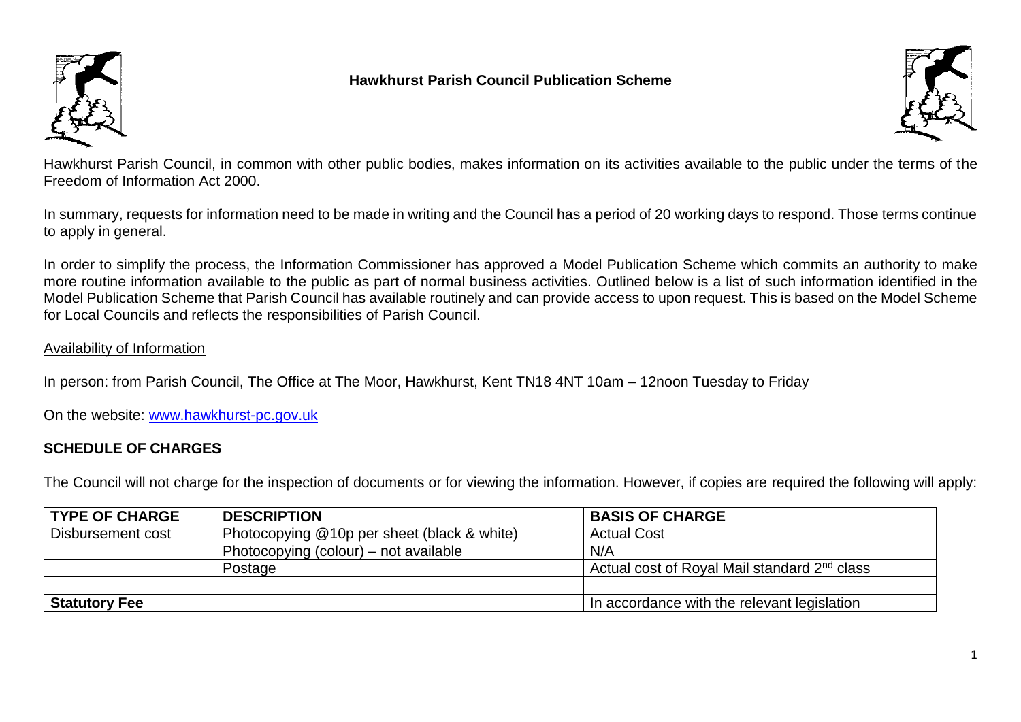

## **Hawkhurst Parish Council Publication Scheme**



Hawkhurst Parish Council, in common with other public bodies, makes information on its activities available to the public under the terms of the Freedom of Information Act 2000.

In summary, requests for information need to be made in writing and the Council has a period of 20 working days to respond. Those terms continue to apply in general.

In order to simplify the process, the Information Commissioner has approved a Model Publication Scheme which commits an authority to make more routine information available to the public as part of normal business activities. Outlined below is a list of such information identified in the Model Publication Scheme that Parish Council has available routinely and can provide access to upon request. This is based on the Model Scheme for Local Councils and reflects the responsibilities of Parish Council.

## Availability of Information

In person: from Parish Council, The Office at The Moor, Hawkhurst, Kent TN18 4NT 10am – 12noon Tuesday to Friday

On the website: [www.hawkhurst-pc.gov.uk](http://www.hawkhurst-pc.gov.uk/)

## **SCHEDULE OF CHARGES**

The Council will not charge for the inspection of documents or for viewing the information. However, if copies are required the following will apply:

| <b>TYPE OF CHARGE</b> | <b>DESCRIPTION</b>                          | <b>BASIS OF CHARGE</b>                                   |
|-----------------------|---------------------------------------------|----------------------------------------------------------|
| Disbursement cost     | Photocopying @10p per sheet (black & white) | <b>Actual Cost</b>                                       |
|                       | Photocopying (colour) – not available       | N/A                                                      |
|                       | Postage                                     | Actual cost of Royal Mail standard 2 <sup>nd</sup> class |
|                       |                                             |                                                          |
| <b>Statutory Fee</b>  |                                             | In accordance with the relevant legislation              |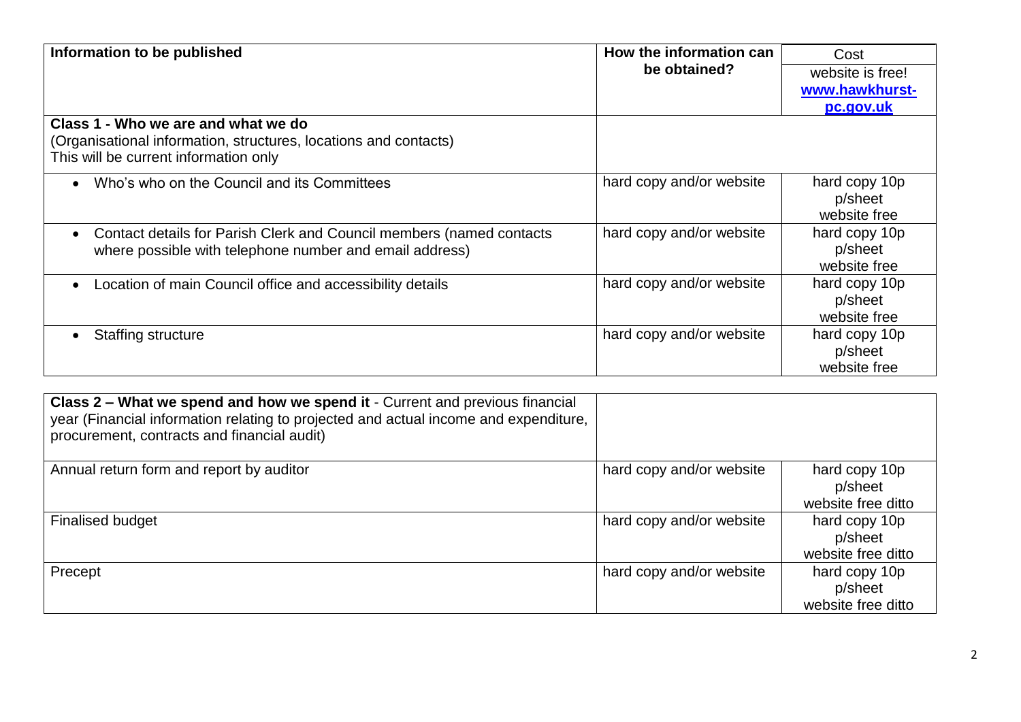| Information to be published                                                                                                                      | How the information can  | Cost                                     |  |
|--------------------------------------------------------------------------------------------------------------------------------------------------|--------------------------|------------------------------------------|--|
|                                                                                                                                                  | be obtained?             | website is free!                         |  |
|                                                                                                                                                  |                          | www.hawkhurst-                           |  |
|                                                                                                                                                  |                          | pc.gov.uk                                |  |
| Class 1 - Who we are and what we do<br>(Organisational information, structures, locations and contacts)<br>This will be current information only |                          |                                          |  |
| Who's who on the Council and its Committees                                                                                                      | hard copy and/or website | hard copy 10p<br>p/sheet<br>website free |  |
| Contact details for Parish Clerk and Council members (named contacts<br>where possible with telephone number and email address)                  | hard copy and/or website | hard copy 10p<br>p/sheet<br>website free |  |
| Location of main Council office and accessibility details                                                                                        | hard copy and/or website | hard copy 10p<br>p/sheet<br>website free |  |
| Staffing structure                                                                                                                               | hard copy and/or website | hard copy 10p<br>p/sheet<br>website free |  |

| Class 2 – What we spend and how we spend it - Current and previous financial<br>year (Financial information relating to projected and actual income and expenditure,<br>procurement, contracts and financial audit) |                          |                                                |
|---------------------------------------------------------------------------------------------------------------------------------------------------------------------------------------------------------------------|--------------------------|------------------------------------------------|
| Annual return form and report by auditor                                                                                                                                                                            | hard copy and/or website | hard copy 10p<br>p/sheet<br>website free ditto |
| <b>Finalised budget</b>                                                                                                                                                                                             | hard copy and/or website | hard copy 10p<br>p/sheet<br>website free ditto |
| Precept                                                                                                                                                                                                             | hard copy and/or website | hard copy 10p<br>p/sheet<br>website free ditto |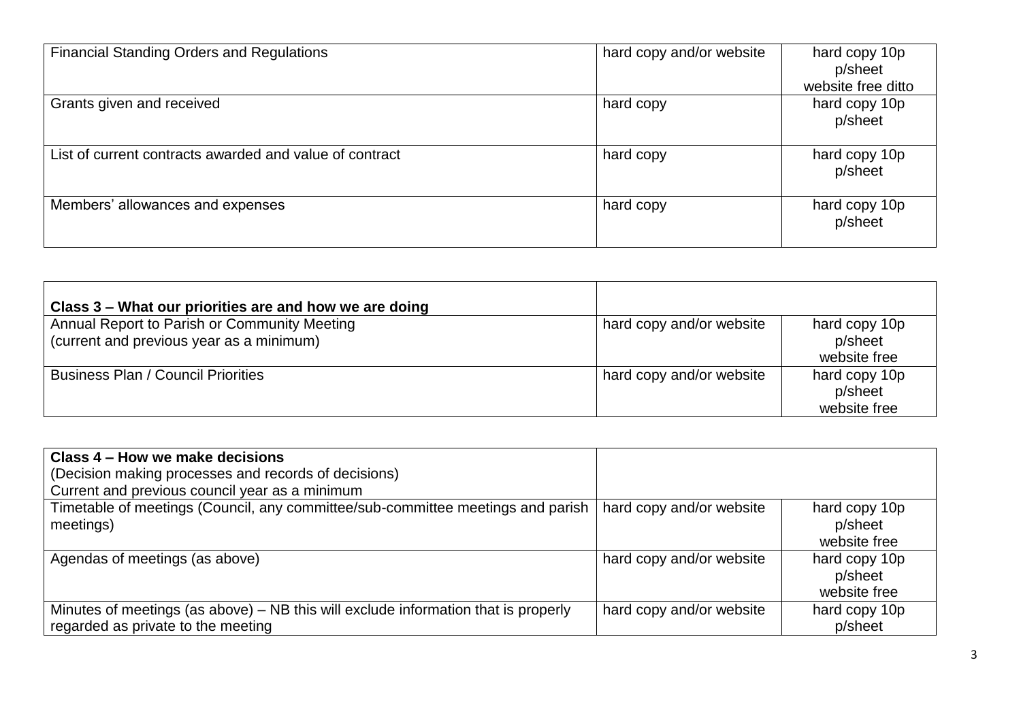| <b>Financial Standing Orders and Regulations</b>        | hard copy and/or website | hard copy 10p<br>p/sheet |
|---------------------------------------------------------|--------------------------|--------------------------|
|                                                         |                          | website free ditto       |
| Grants given and received                               | hard copy                | hard copy 10p<br>p/sheet |
| List of current contracts awarded and value of contract | hard copy                | hard copy 10p<br>p/sheet |
| Members' allowances and expenses                        | hard copy                | hard copy 10p<br>p/sheet |

| Class 3 – What our priorities are and how we are doing                                   |                          |                                          |
|------------------------------------------------------------------------------------------|--------------------------|------------------------------------------|
| Annual Report to Parish or Community Meeting<br>(current and previous year as a minimum) | hard copy and/or website | hard copy 10p<br>p/sheet<br>website free |
| Business Plan / Council Priorities                                                       | hard copy and/or website | hard copy 10p<br>p/sheet<br>website free |

| Class 4 – How we make decisions                                                                                          |                          |                                          |
|--------------------------------------------------------------------------------------------------------------------------|--------------------------|------------------------------------------|
| (Decision making processes and records of decisions)                                                                     |                          |                                          |
| Current and previous council year as a minimum                                                                           |                          |                                          |
| Timetable of meetings (Council, any committee/sub-committee meetings and parish<br>meetings)                             | hard copy and/or website | hard copy 10p<br>p/sheet<br>website free |
| Agendas of meetings (as above)                                                                                           | hard copy and/or website | hard copy 10p<br>p/sheet<br>website free |
| Minutes of meetings (as above) – NB this will exclude information that is properly<br>regarded as private to the meeting | hard copy and/or website | hard copy 10p<br>p/sheet                 |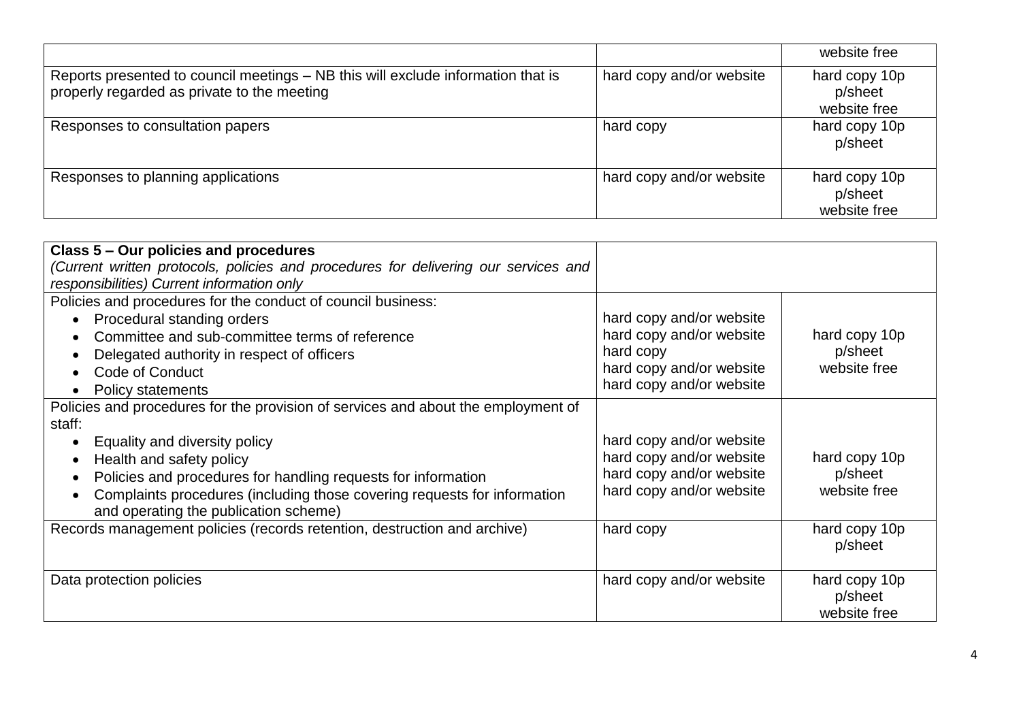|                                                                                                                                 |                          | website free                             |
|---------------------------------------------------------------------------------------------------------------------------------|--------------------------|------------------------------------------|
| Reports presented to council meetings – NB this will exclude information that is<br>properly regarded as private to the meeting | hard copy and/or website | hard copy 10p<br>p/sheet<br>website free |
| Responses to consultation papers                                                                                                | hard copy                | hard copy 10p<br>p/sheet                 |
| Responses to planning applications                                                                                              | hard copy and/or website | hard copy 10p<br>p/sheet<br>website free |

| Class 5 – Our policies and procedures                                               |                          |               |
|-------------------------------------------------------------------------------------|--------------------------|---------------|
| (Current written protocols, policies and procedures for delivering our services and |                          |               |
| responsibilities) Current information only                                          |                          |               |
| Policies and procedures for the conduct of council business:                        |                          |               |
| Procedural standing orders                                                          | hard copy and/or website |               |
| Committee and sub-committee terms of reference                                      | hard copy and/or website | hard copy 10p |
| Delegated authority in respect of officers                                          | hard copy                | p/sheet       |
| <b>Code of Conduct</b><br>$\bullet$                                                 | hard copy and/or website | website free  |
| <b>Policy statements</b><br>$\bullet$                                               | hard copy and/or website |               |
| Policies and procedures for the provision of services and about the employment of   |                          |               |
| staff:                                                                              |                          |               |
| Equality and diversity policy                                                       | hard copy and/or website |               |
| Health and safety policy<br>$\bullet$                                               | hard copy and/or website | hard copy 10p |
| Policies and procedures for handling requests for information                       | hard copy and/or website | p/sheet       |
| Complaints procedures (including those covering requests for information            | hard copy and/or website | website free  |
| and operating the publication scheme)                                               |                          |               |
| Records management policies (records retention, destruction and archive)            | hard copy                | hard copy 10p |
|                                                                                     |                          | p/sheet       |
|                                                                                     |                          |               |
| Data protection policies                                                            | hard copy and/or website | hard copy 10p |
|                                                                                     |                          | p/sheet       |
|                                                                                     |                          |               |
|                                                                                     |                          | website free  |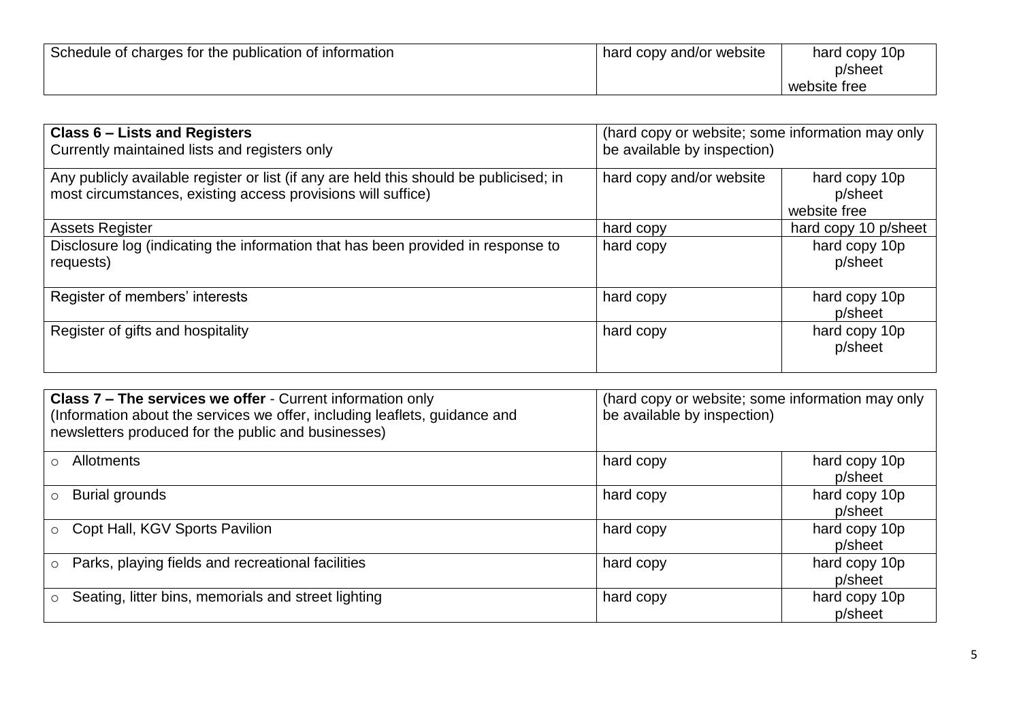| Schedule of charges for the publication of information | hard copy and/or website | hard copy 10p<br>p/sheet |
|--------------------------------------------------------|--------------------------|--------------------------|
|                                                        |                          | website free             |

| Class 6 – Lists and Registers<br>Currently maintained lists and registers only                                                                         | (hard copy or website; some information may only<br>be available by inspection) |                                          |
|--------------------------------------------------------------------------------------------------------------------------------------------------------|---------------------------------------------------------------------------------|------------------------------------------|
| Any publicly available register or list (if any are held this should be publicised; in<br>most circumstances, existing access provisions will suffice) | hard copy and/or website                                                        | hard copy 10p<br>p/sheet<br>website free |
| <b>Assets Register</b>                                                                                                                                 | hard copy                                                                       | hard copy 10 p/sheet                     |
| Disclosure log (indicating the information that has been provided in response to<br>requests)                                                          | hard copy                                                                       | hard copy 10p<br>p/sheet                 |
| Register of members' interests                                                                                                                         | hard copy                                                                       | hard copy 10p<br>p/sheet                 |
| Register of gifts and hospitality                                                                                                                      | hard copy                                                                       | hard copy 10p<br>p/sheet                 |

| Class 7 - The services we offer - Current information only<br>(Information about the services we offer, including leaflets, guidance and<br>newsletters produced for the public and businesses) | (hard copy or website; some information may only<br>be available by inspection) |                          |
|-------------------------------------------------------------------------------------------------------------------------------------------------------------------------------------------------|---------------------------------------------------------------------------------|--------------------------|
| <b>Allotments</b><br>$\bigcap$                                                                                                                                                                  | hard copy                                                                       | hard copy 10p<br>p/sheet |
| <b>Burial grounds</b><br>$\circ$                                                                                                                                                                | hard copy                                                                       | hard copy 10p<br>p/sheet |
| ○ Copt Hall, KGV Sports Pavilion                                                                                                                                                                | hard copy                                                                       | hard copy 10p<br>p/sheet |
| Parks, playing fields and recreational facilities<br>$\circ$                                                                                                                                    | hard copy                                                                       | hard copy 10p<br>p/sheet |
| Seating, litter bins, memorials and street lighting<br>$\circ$                                                                                                                                  | hard copy                                                                       | hard copy 10p<br>p/sheet |